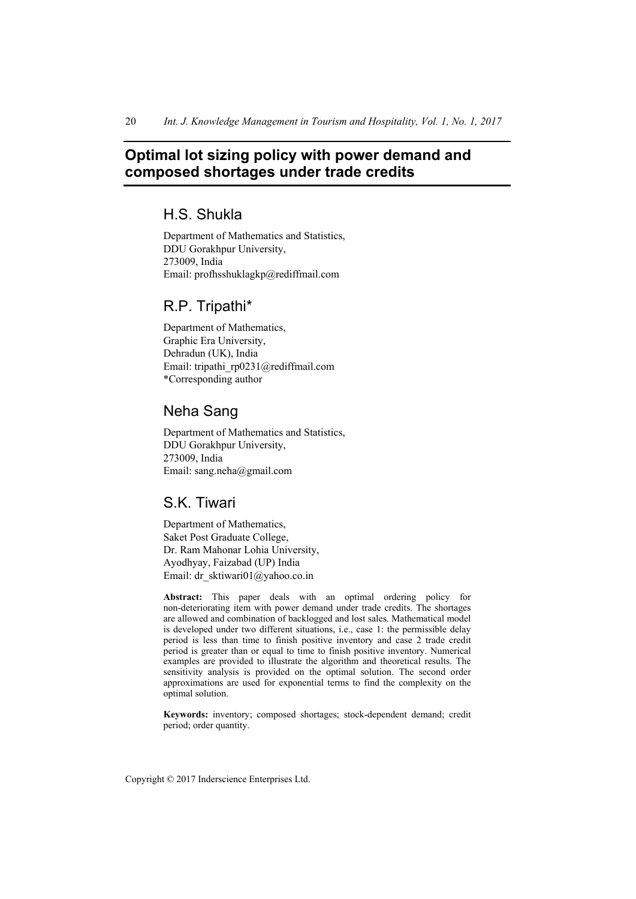# **Optimal lot sizing policy with power demand and composed shortages under trade credits**

## H.S. Shukla

Department of Mathematics and Statistics, DDU Gorakhpur University, 273009, India Email: profhsshuklagkp@rediffmail.com

## R.P. Tripathi\*

Department of Mathematics, Graphic Era University, Dehradun (UK), India Email: tripathi\_rp0231@rediffmail.com \*Corresponding author

## Neha Sang

Department of Mathematics and Statistics, DDU Gorakhpur University, 273009, India Email: sang.neha@gmail.com

# S.K. Tiwari

Department of Mathematics, Saket Post Graduate College, Dr. Ram Mahonar Lohia University, Ayodhyay, Faizabad (UP) India Email: dr\_sktiwari01@yahoo.co.in

**Abstract:** This paper deals with an optimal ordering policy for non-deteriorating item with power demand under trade credits. The shortages are allowed and combination of backlogged and lost sales. Mathematical model is developed under two different situations, i.e., case 1: the permissible delay period is less than time to finish positive inventory and case 2 trade credit period is greater than or equal to time to finish positive inventory. Numerical examples are provided to illustrate the algorithm and theoretical results. The sensitivity analysis is provided on the optimal solution. The second order approximations are used for exponential terms to find the complexity on the optimal solution.

**Keywords:** inventory; composed shortages; stock-dependent demand; credit period; order quantity.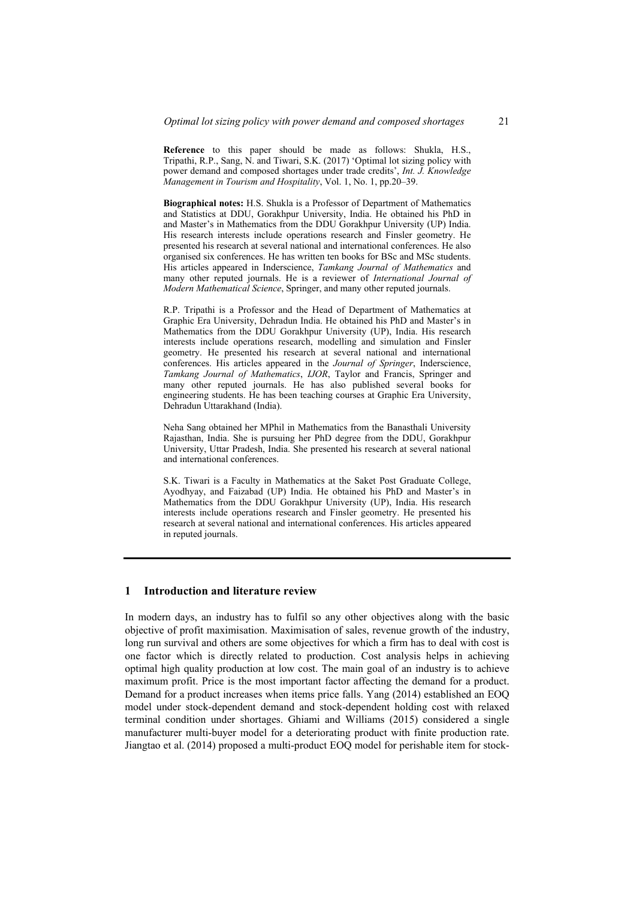**Reference** to this paper should be made as follows: Shukla, H.S., Tripathi, R.P., Sang, N. and Tiwari, S.K. (2017) 'Optimal lot sizing policy with power demand and composed shortages under trade credits', *Int. J. Knowledge Management in Tourism and Hospitality*, Vol. 1, No. 1, pp.20–39.

**Biographical notes:** H.S. Shukla is a Professor of Department of Mathematics and Statistics at DDU, Gorakhpur University, India. He obtained his PhD in and Master's in Mathematics from the DDU Gorakhpur University (UP) India. His research interests include operations research and Finsler geometry. He presented his research at several national and international conferences. He also organised six conferences. He has written ten books for BSc and MSc students. His articles appeared in Inderscience, *Tamkang Journal of Mathematics* and many other reputed journals. He is a reviewer of *International Journal of Modern Mathematical Science*, Springer, and many other reputed journals.

R.P. Tripathi is a Professor and the Head of Department of Mathematics at Graphic Era University, Dehradun India. He obtained his PhD and Master's in Mathematics from the DDU Gorakhpur University (UP), India. His research interests include operations research, modelling and simulation and Finsler geometry. He presented his research at several national and international conferences. His articles appeared in the *Journal of Springer*, Inderscience, *Tamkang Journal of Mathematics*, *IJOR*, Taylor and Francis, Springer and many other reputed journals. He has also published several books for engineering students. He has been teaching courses at Graphic Era University, Dehradun Uttarakhand (India).

Neha Sang obtained her MPhil in Mathematics from the Banasthali University Rajasthan, India. She is pursuing her PhD degree from the DDU, Gorakhpur University, Uttar Pradesh, India. She presented his research at several national and international conferences.

S.K. Tiwari is a Faculty in Mathematics at the Saket Post Graduate College, Ayodhyay, and Faizabad (UP) India. He obtained his PhD and Master's in Mathematics from the DDU Gorakhpur University (UP), India. His research interests include operations research and Finsler geometry. He presented his research at several national and international conferences. His articles appeared in reputed journals.

#### **1 Introduction and literature review**

In modern days, an industry has to fulfil so any other objectives along with the basic objective of profit maximisation. Maximisation of sales, revenue growth of the industry, long run survival and others are some objectives for which a firm has to deal with cost is one factor which is directly related to production. Cost analysis helps in achieving optimal high quality production at low cost. The main goal of an industry is to achieve maximum profit. Price is the most important factor affecting the demand for a product. Demand for a product increases when items price falls. Yang (2014) established an EOQ model under stock-dependent demand and stock-dependent holding cost with relaxed terminal condition under shortages. Ghiami and Williams (2015) considered a single manufacturer multi-buyer model for a deteriorating product with finite production rate. Jiangtao et al. (2014) proposed a multi-product EOQ model for perishable item for stock-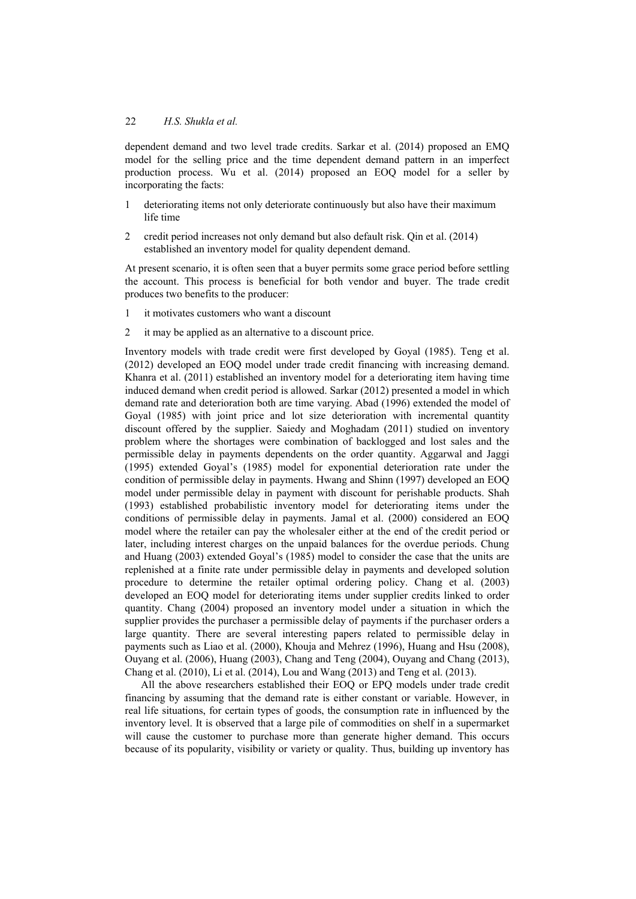dependent demand and two level trade credits. Sarkar et al. (2014) proposed an EMQ model for the selling price and the time dependent demand pattern in an imperfect production process. Wu et al. (2014) proposed an EOQ model for a seller by incorporating the facts:

- 1 deteriorating items not only deteriorate continuously but also have their maximum life time
- 2 credit period increases not only demand but also default risk. Qin et al. (2014) established an inventory model for quality dependent demand.

At present scenario, it is often seen that a buyer permits some grace period before settling the account. This process is beneficial for both vendor and buyer. The trade credit produces two benefits to the producer:

- 1 it motivates customers who want a discount
- 2 it may be applied as an alternative to a discount price.

Inventory models with trade credit were first developed by Goyal (1985). Teng et al. (2012) developed an EOQ model under trade credit financing with increasing demand. Khanra et al. (2011) established an inventory model for a deteriorating item having time induced demand when credit period is allowed. Sarkar (2012) presented a model in which demand rate and deterioration both are time varying. Abad (1996) extended the model of Goyal (1985) with joint price and lot size deterioration with incremental quantity discount offered by the supplier. Saiedy and Moghadam (2011) studied on inventory problem where the shortages were combination of backlogged and lost sales and the permissible delay in payments dependents on the order quantity. Aggarwal and Jaggi (1995) extended Goyal's (1985) model for exponential deterioration rate under the condition of permissible delay in payments. Hwang and Shinn (1997) developed an EOQ model under permissible delay in payment with discount for perishable products. Shah (1993) established probabilistic inventory model for deteriorating items under the conditions of permissible delay in payments. Jamal et al. (2000) considered an EOQ model where the retailer can pay the wholesaler either at the end of the credit period or later, including interest charges on the unpaid balances for the overdue periods. Chung and Huang (2003) extended Goyal's (1985) model to consider the case that the units are replenished at a finite rate under permissible delay in payments and developed solution procedure to determine the retailer optimal ordering policy. Chang et al. (2003) developed an EOQ model for deteriorating items under supplier credits linked to order quantity. Chang (2004) proposed an inventory model under a situation in which the supplier provides the purchaser a permissible delay of payments if the purchaser orders a large quantity. There are several interesting papers related to permissible delay in payments such as Liao et al. (2000), Khouja and Mehrez (1996), Huang and Hsu (2008), Ouyang et al. (2006), Huang (2003), Chang and Teng (2004), Ouyang and Chang (2013), Chang et al. (2010), Li et al. (2014), Lou and Wang (2013) and Teng et al. (2013).

All the above researchers established their EOQ or EPQ models under trade credit financing by assuming that the demand rate is either constant or variable. However, in real life situations, for certain types of goods, the consumption rate in influenced by the inventory level. It is observed that a large pile of commodities on shelf in a supermarket will cause the customer to purchase more than generate higher demand. This occurs because of its popularity, visibility or variety or quality. Thus, building up inventory has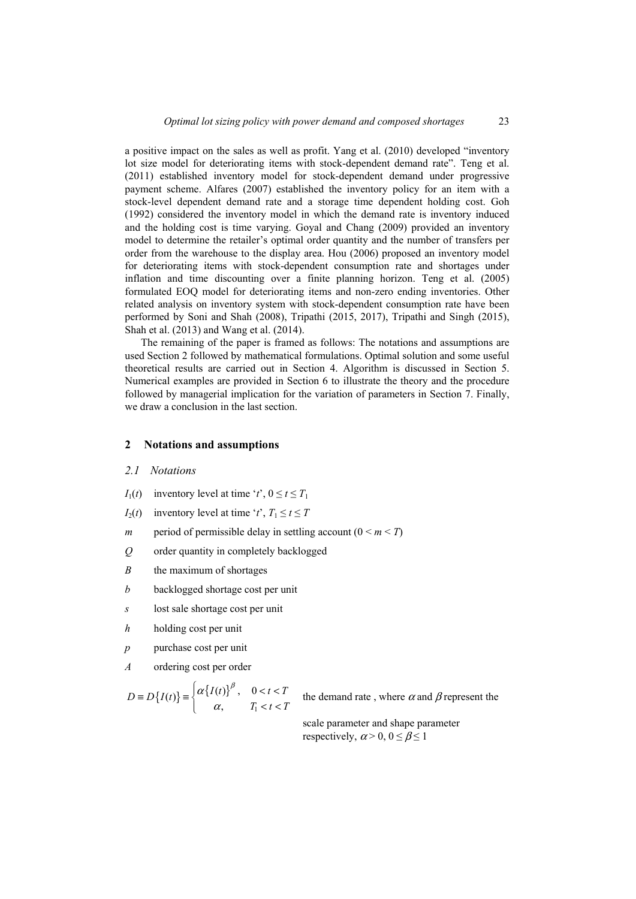a positive impact on the sales as well as profit. Yang et al. (2010) developed "inventory lot size model for deteriorating items with stock-dependent demand rate". Teng et al. (2011) established inventory model for stock-dependent demand under progressive payment scheme. Alfares (2007) established the inventory policy for an item with a stock-level dependent demand rate and a storage time dependent holding cost. Goh (1992) considered the inventory model in which the demand rate is inventory induced and the holding cost is time varying. Goyal and Chang (2009) provided an inventory model to determine the retailer's optimal order quantity and the number of transfers per order from the warehouse to the display area. Hou (2006) proposed an inventory model for deteriorating items with stock-dependent consumption rate and shortages under inflation and time discounting over a finite planning horizon. Teng et al. (2005) formulated EOQ model for deteriorating items and non-zero ending inventories. Other related analysis on inventory system with stock-dependent consumption rate have been performed by Soni and Shah (2008), Tripathi (2015, 2017), Tripathi and Singh (2015), Shah et al. (2013) and Wang et al. (2014).

The remaining of the paper is framed as follows: The notations and assumptions are used Section 2 followed by mathematical formulations. Optimal solution and some useful theoretical results are carried out in Section 4. Algorithm is discussed in Section 5. Numerical examples are provided in Section 6 to illustrate the theory and the procedure followed by managerial implication for the variation of parameters in Section 7. Finally, we draw a conclusion in the last section.

#### **2 Notations and assumptions**

#### *2.1 Notations*

- *I*<sub>1</sub>(*t*) inventory level at time '*t*',  $0 \le t \le T_1$
- *I*<sub>2</sub>(*t*) inventory level at time '*t*',  $T_1 \le t \le T$
- *m* period of permissible delay in settling account  $(0 \le m \le T)$
- *Q* order quantity in completely backlogged
- *B* the maximum of shortages
- *b* backlogged shortage cost per unit
- *s* lost sale shortage cost per unit
- *h* holding cost per unit
- *p* purchase cost per unit
- *A* ordering cost per order

$$
D \equiv D\{I(t)\} \equiv \begin{cases} \alpha \{I(t)\}^{\beta}, & 0 < t < T \\ \alpha, & T_1 < t < T \end{cases}
$$

the demand rate, where  $\alpha$  and  $\beta$  represent the

scale parameter and shape parameter respectively,  $\alpha > 0$ ,  $0 \le \beta \le 1$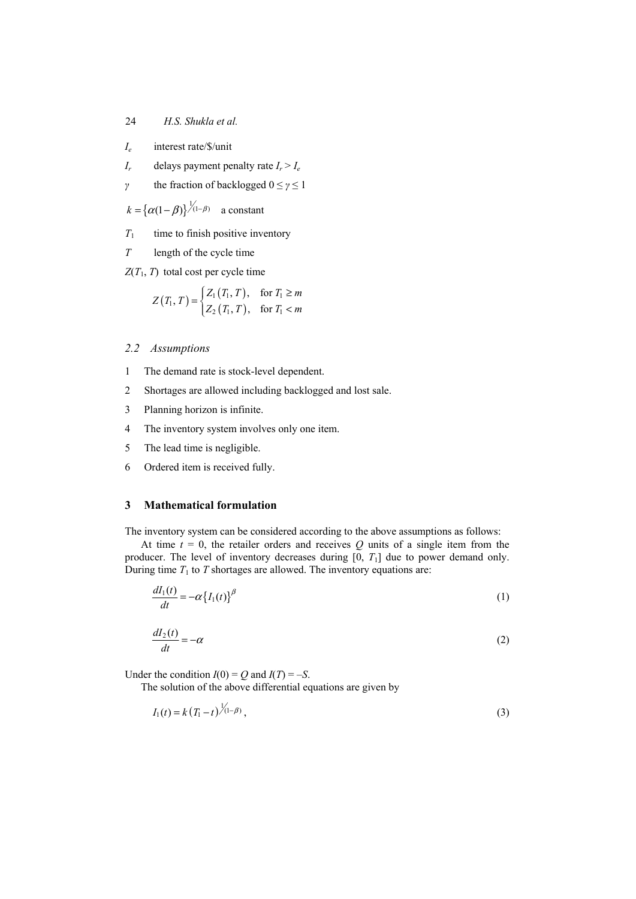- 24 *H.S. Shukla et al.*
- *Ie* interest rate/\$/unit
- $I_r$  delays payment penalty rate  $I_r > I_e$
- *γ* the fraction of backlogged  $0 ≤ γ ≤ 1$

 $k = {\alpha(1-\beta)}^{\frac{1}{\sqrt{(1-\beta)}}}$  a constant

- $T_1$  time to finish positive inventory
- *T* length of the cycle time

 $Z(T_1, T)$  total cost per cycle time

$$
Z(T_1, T) = \begin{cases} Z_1(T_1, T), & \text{for } T_1 \ge m \\ Z_2(T_1, T), & \text{for } T_1 < m \end{cases}
$$

### *2.2 Assumptions*

- 1 The demand rate is stock-level dependent.
- 2 Shortages are allowed including backlogged and lost sale.
- 3 Planning horizon is infinite.
- 4 The inventory system involves only one item.
- 5 The lead time is negligible.
- 6 Ordered item is received fully.

### **3 Mathematical formulation**

The inventory system can be considered according to the above assumptions as follows:

At time  $t = 0$ , the retailer orders and receives *Q* units of a single item from the producer. The level of inventory decreases during  $[0, T_1]$  due to power demand only. During time  $T_1$  to  $T$  shortages are allowed. The inventory equations are:

$$
\frac{dI_1(t)}{dt} = -\alpha \left\{ I_1(t) \right\}^\beta \tag{1}
$$

$$
\frac{dI_2(t)}{dt} = -\alpha\tag{2}
$$

Under the condition  $I(0) = Q$  and  $I(T) = -S$ .

The solution of the above differential equations are given by

$$
I_1(t) = k (T_1 - t)^{\frac{1}{\sqrt{1-\beta}}}, \tag{3}
$$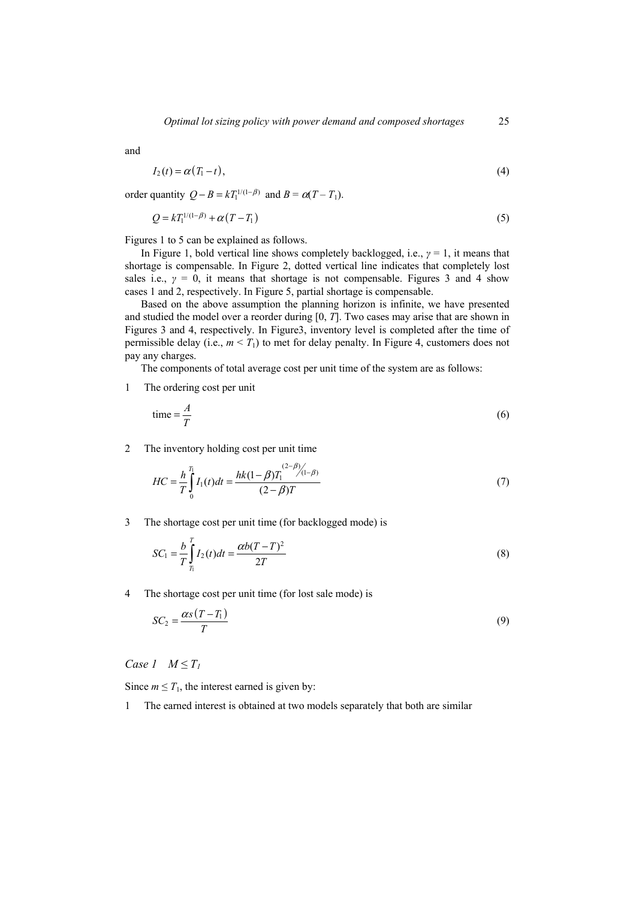and

$$
I_2(t) = \alpha (T_1 - t), \tag{4}
$$

order quantity  $Q - B = kT_1^{1/(1 - \beta)}$  and  $B = \alpha (T - T_1)$ .

$$
Q = kT_1^{1/(1-\beta)} + \alpha (T - T_1) \tag{5}
$$

Figures 1 to 5 can be explained as follows.

In Figure 1, bold vertical line shows completely backlogged, i.e.,  $\gamma = 1$ , it means that shortage is compensable. In Figure 2, dotted vertical line indicates that completely lost sales i.e.,  $\gamma = 0$ , it means that shortage is not compensable. Figures 3 and 4 show cases 1 and 2, respectively. In Figure 5, partial shortage is compensable.

Based on the above assumption the planning horizon is infinite, we have presented and studied the model over a reorder during [0, *T*]. Two cases may arise that are shown in Figures 3 and 4, respectively. In Figure3, inventory level is completed after the time of permissible delay (i.e.,  $m < T_1$ ) to met for delay penalty. In Figure 4, customers does not pay any charges.

The components of total average cost per unit time of the system are as follows:

1 The ordering cost per unit

$$
time = \frac{A}{T}
$$
\n(6)

2 The inventory holding cost per unit time

$$
HC = \frac{h}{T} \int_{0}^{T_1} I_1(t)dt = \frac{hk(1-\beta)T_1^{(2-\beta)}/(1-\beta)}{(2-\beta)T}
$$
\n(7)

3 The shortage cost per unit time (for backlogged mode) is

$$
SC_1 = \frac{b}{T} \int_{T_1}^{T} I_2(t) dt = \frac{\alpha b (T - T)^2}{2T}
$$
\n(8)

4 The shortage cost per unit time (for lost sale mode) is

$$
SC_2 = \frac{\alpha s (T - T_1)}{T}
$$
\n(9)

*Case 1*  $M \leq T_1$ 

Since  $m \leq T_1$ , the interest earned is given by:

1 The earned interest is obtained at two models separately that both are similar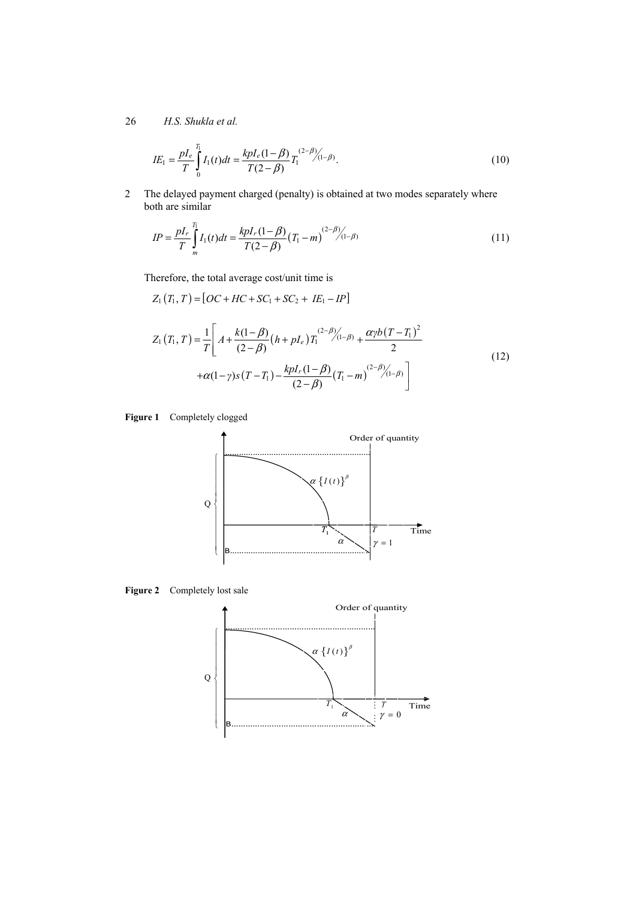$$
IE_1 = \frac{pI_e}{T} \int_0^{T_1} I_1(t)dt = \frac{k pI_e (1 - \beta)}{T(2 - \beta)} T_1^{(2 - \beta)}/_{(1 - \beta)}.
$$
\n(10)

2 The delayed payment charged (penalty) is obtained at two modes separately where both are similar

$$
IP = \frac{pI_r}{T} \int_{m}^{T_1} I_1(t)dt = \frac{k pI_r (1 - \beta)}{T(2 - \beta)} (T_1 - m)^{(2 - \beta)/(1 - \beta)}
$$
(11)

Therefore, the total average cost/unit time is

$$
Z_{1}(T_{1}, T) = [OC + HC + SC_{1} + SC_{2} + IE_{1} - IP]
$$
  
\n
$$
Z_{1}(T_{1}, T) = \frac{1}{T} \left[ A + \frac{k(1-\beta)}{(2-\beta)} (h + pI_{e}) T_{1}^{(2-\beta)/(1-\beta)} + \frac{\alpha \gamma b (T - T_{1})^{2}}{2} + \alpha (1-\gamma)s (T - T_{1}) - \frac{k p I_{r} (1-\beta)}{(2-\beta)} (T_{1} - m)^{(2-\beta)/(1-\beta)} \right]
$$
\n(12)







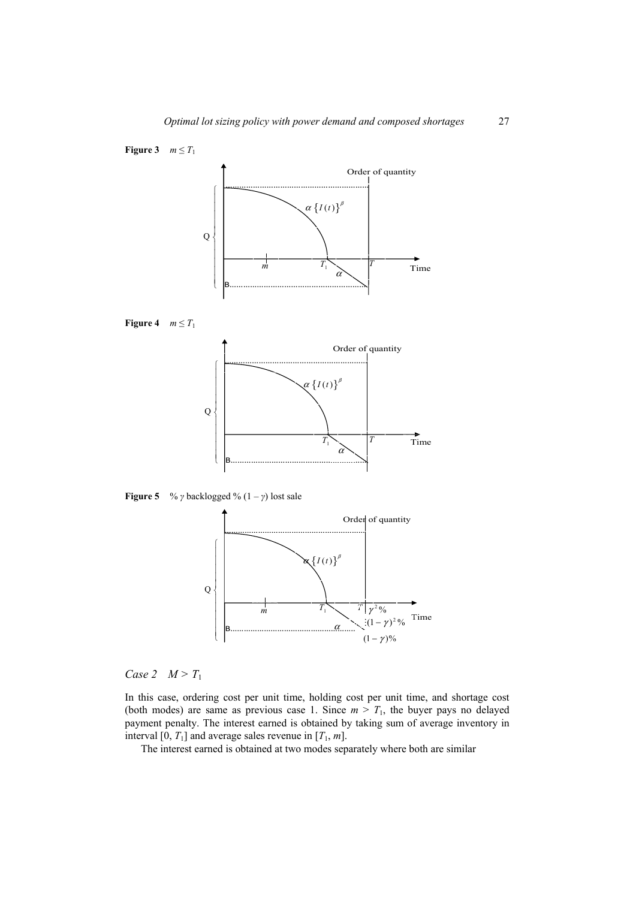



**Figure 4**  $m \leq T_1$ 



**Figure 5** % *γ* backlogged %  $(1 - \gamma)$  lost sale



*Case 2 M > T*<sup>1</sup>

In this case, ordering cost per unit time, holding cost per unit time, and shortage cost (both modes) are same as previous case 1. Since  $m > T_1$ , the buyer pays no delayed payment penalty. The interest earned is obtained by taking sum of average inventory in interval  $[0, T_1]$  and average sales revenue in  $[T_1, m]$ .

The interest earned is obtained at two modes separately where both are similar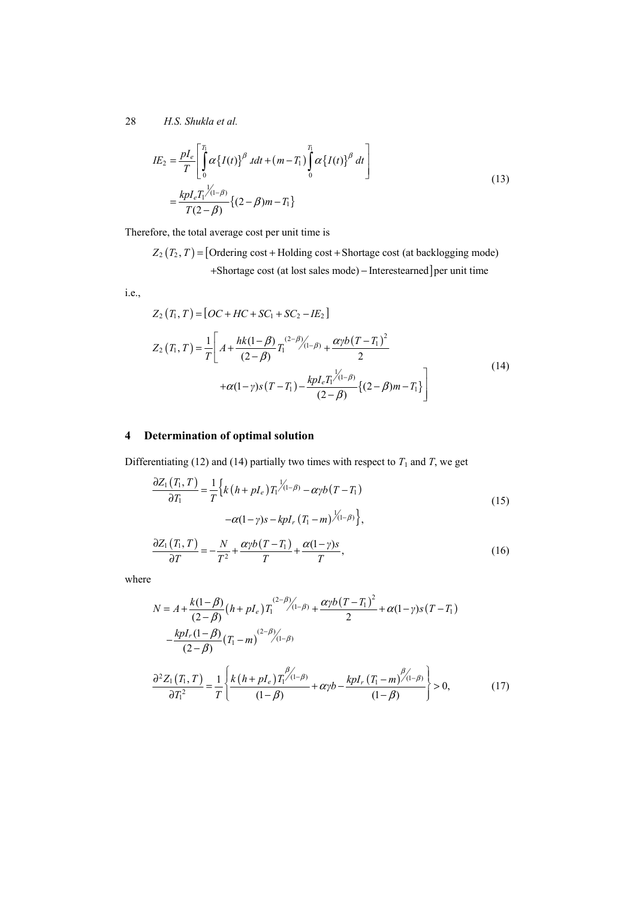$$
IE_2 = \frac{pI_e}{T} \left[ \int_0^{T_1} \alpha \{I(t)\}^{\beta} t dt + (m - T_1) \int_0^{T_1} \alpha \{I(t)\}^{\beta} dt \right]
$$
  
= 
$$
\frac{k pI_e T_1^{1/(1-\beta)}}{T(2-\beta)} \{ (2-\beta)m - T_1 \}
$$
 (13)

Therefore, the total average cost per unit time is

 $Z_2(T_2, T) =$  [Ordering cost + Holding cost + Shortage cost (at backlogging mode) +Shortage cost (at lost sales mode) – Interestearned per unit time

i.e.,

$$
Z_{2}(T_{1}, T) = [OC + HC + SC_{1} + SC_{2} - IE_{2}]
$$
  
\n
$$
Z_{2}(T_{1}, T) = \frac{1}{T} \left[ A + \frac{hk(1-\beta)}{(2-\beta)} T_{1}^{(2-\beta)/(1-\beta)} + \frac{\alpha \gamma b (T - T_{1})^{2}}{2} + \alpha (1 - \gamma)s (T - T_{1}) - \frac{kpI_{e}T_{1}^{1/((1-\beta))}}{(2-\beta)} \{ (2-\beta)m - T_{1} \} \right]
$$
\n(14)

## **4 Determination of optimal solution**

Differentiating (12) and (14) partially two times with respect to  $T_1$  and  $T$ , we get

$$
\frac{\partial Z_1(T_1, T)}{\partial T_1} = \frac{1}{T} \Big\{ k \big( h + pI_e \big) T_1^{\frac{1}{\sqrt{1-\beta}}} - \alpha \gamma b \big( T - T_1 \big) -\alpha (1 - \gamma) s - k p I_r \big( T_1 - m \big)^{\frac{1}{\sqrt{1-\beta}}} \Big\},\tag{15}
$$

$$
\frac{\partial Z_1(T_1, T)}{\partial T} = -\frac{N}{T^2} + \frac{\alpha \gamma b (T - T_1)}{T} + \frac{\alpha (1 - \gamma)s}{T},\tag{16}
$$

where

$$
N = A + \frac{k(1-\beta)}{(2-\beta)} (h + pI_e) T_1^{(2-\beta)/(1-\beta)} + \frac{\alpha \gamma b (T - T_1)^2}{2} + \alpha (1-\gamma)s (T - T_1)
$$
  

$$
-\frac{k p I_r (1-\beta)}{(2-\beta)} (T_1 - m)^{(2-\beta)/(1-\beta)}
$$
  

$$
\frac{\partial^2 Z_1 (T_1, T)}{\partial T_1^2} = \frac{1}{T} \left\{ \frac{k (h + pI_e) T_1^{\beta/(1-\beta)}}{(1-\beta)} + \alpha \gamma b - \frac{k p I_r (T_1 - m)^{\beta/(1-\beta)}}{(1-\beta)} \right\} > 0,
$$
 (17)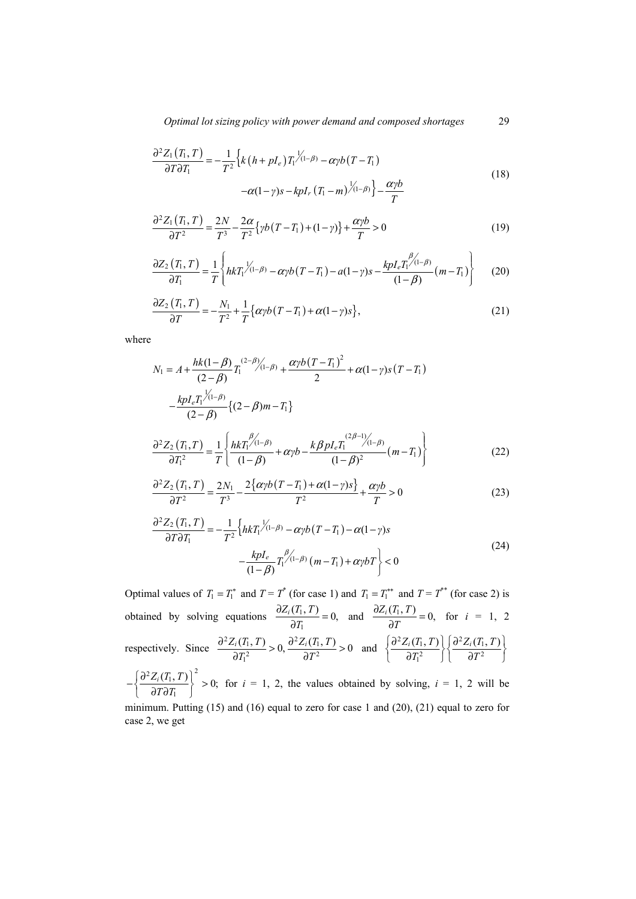*Optimal lot sizing policy with power demand and composed shortages* 29

$$
\frac{\partial^2 Z_1(T_1, T)}{\partial T \partial T_1} = -\frac{1}{T^2} \Big\{ k \big( h + pI_e \big) T_1^{\frac{1}{\sqrt{1-\beta}}} - \alpha \gamma b \big( T - T_1 \big) -\alpha (1 - \gamma) s - k p I_r \big( T_1 - m \big)^{\frac{1}{\sqrt{1-\beta}}} \Big\} - \frac{\alpha \gamma b}{T}
$$
\n(18)

$$
\frac{\partial^2 Z_1(T_1, T)}{\partial T^2} = \frac{2N}{T^3} - \frac{2\alpha}{T^2} \left\{ y b \left( T - T_1 \right) + (1 - y) \right\} + \frac{\alpha y b}{T} > 0 \tag{19}
$$

$$
\frac{\partial Z_2(T_1, T)}{\partial T_1} = \frac{1}{T} \left\{ h k T_1^{1/(\frac{1-\beta}{\beta})} - \alpha \gamma b (T - T_1) - a(1 - \gamma)s - \frac{k p I_e T_1^{1/(\frac{1-\beta}{\beta})}}{(1-\beta)} (m - T_1) \right\}
$$
(20)

$$
\frac{\partial Z_2(T_1, T)}{\partial T} = -\frac{N_1}{T^2} + \frac{1}{T} \left\{ \alpha \gamma b (T - T_1) + \alpha (1 - \gamma)s \right\},\tag{21}
$$

where

$$
N_1 = A + \frac{hk(1-\beta)}{(2-\beta)}T_1^{(2-\beta)/(1-\beta)} + \frac{\alpha\gamma b(T-T_1)^2}{2} + \alpha(1-\gamma)s(T-T_1)
$$

$$
-\frac{kpI_eT_1^{1/((1-\beta))}}{(2-\beta)}\{(2-\beta)m - T_1\}
$$

$$
\frac{\partial^2 Z_2(T_1, T)}{\partial T_1^2} = \frac{1}{T} \left\{ \frac{hkT_1^{\beta/(1-\beta)}}{(1-\beta)} + \alpha\gamma b - \frac{k\beta pI_eT_1^{(2\beta-1)/(1-\beta)}}{(1-\beta)^2} (m-T_1) \right\}
$$
(22)

$$
\frac{\partial^2 Z_2(T_1, T)}{\partial T^2} = \frac{2N_1}{T^3} - \frac{2\{\alpha\}b(T - T_1) + \alpha(1 - \gamma)s\}}{T^2} + \frac{\alpha\gamma b}{T} > 0\tag{23}
$$

$$
\frac{\partial^2 Z_2(T_1, T)}{\partial T \partial T_1} = -\frac{1}{T^2} \left\{ h k T_1^{1/(\frac{1-\beta}{\beta})} - \alpha \gamma b (T - T_1) - \alpha (1 - \gamma) s \right. \left. - \frac{k p I_e}{(1-\beta)} T_1^{1/(\frac{1-\beta}{\beta})} (m - T_1) + \alpha \gamma b T \right\} < 0 \tag{24}
$$

Optimal values of  $T_1 = T_1^*$  and  $T = T^*$  (for case 1) and  $T_1 = T_1^{**}$  and  $T = T^{**}$  (for case 2) is obtained by solving equations  $\frac{dz_i(t_1)}{2\pi}$ 1  $\frac{\partial Z_i(T_1, T)}{\partial T_1} = 0$ , and  $\frac{\partial Z_i(T_1, T)}{\partial T} = 0$ , for  $i = 1, 2$ respectively. Since  $\frac{\partial^2 Z_i(T_1, T)}{\partial T_1^2} > 0$ ,  $\frac{\partial^2 Z_i(T_1, T)}{\partial T_2^2}$  $\frac{Z_i(T_1, T)}{\partial T_1^2} > 0, \frac{\partial^2 Z_i(T_1, T)}{\partial T^2} > 0$  $\frac{\partial^2 Z_i(T_1, T)}{\partial T_1^2} > 0, \frac{\partial^2 Z_i(T_1, T)}{\partial T^2} > 0$  and  $\left\{ \frac{\partial^2 Z_i(T_1, T)}{\partial T_1^2} \right\} \left\{ \frac{\partial^2 Z_i(T_1, T)}{\partial T^2} \right\}$  $Z_i(T_1,T)$   $\bigcap$   $\partial^2 Z_i(T_1,T)$  $\left\{\frac{\partial^2 Z_i(T_1,T)}{\partial T_1^2}\right\} \left\{\frac{\partial^2 Z_i(T_1,T)}{\partial T^2}\right\}$  ${}^2Z_i(T_1,T)$ <sup>2</sup> 1  $\left\{\frac{Z_i(T_1, T)}{\partial T \partial T_1}\right\}^2 > 0;$  $-\left\{\frac{\partial^2 Z_i(T_1, T)}{\partial T \partial T_1}\right\}^2 > 0$ ; for  $i = 1, 2$ , the values obtained by solving,  $i = 1, 2$  will be

minimum. Putting (15) and (16) equal to zero for case 1 and (20), (21) equal to zero for case 2, we get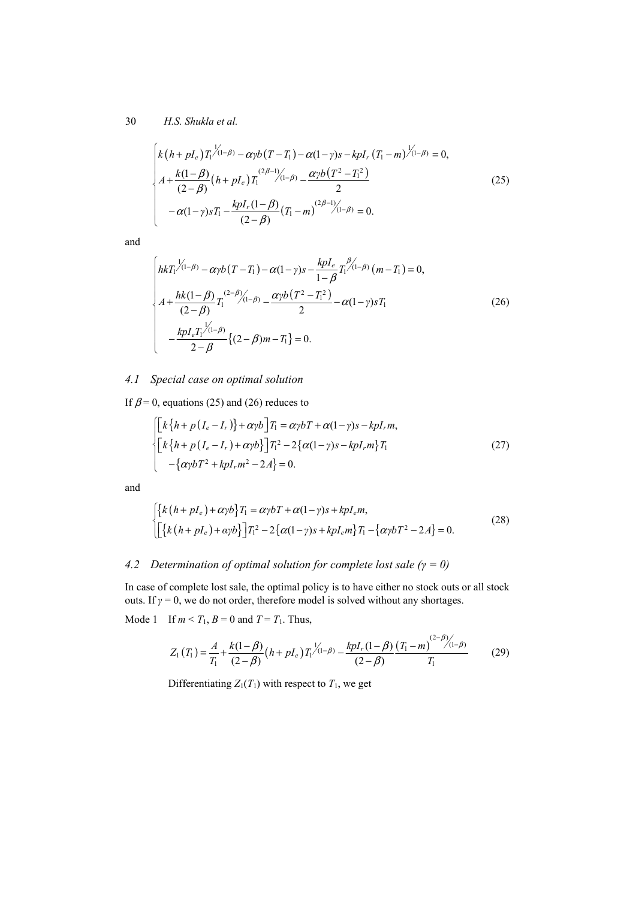$$
\begin{cases}\nk(h + pl_e)T_1^{\frac{1}{\sqrt{(1-\beta)}}} - \alpha \gamma b (T - T_1) - \alpha (1 - \gamma)s - kpl_r (T_1 - m)^{\frac{1}{\sqrt{(1-\beta)}}} = 0, \\
A + \frac{k(1-\beta)}{(2-\beta)} (h + pl_e)T_1^{(2\beta-1)/\left(1-\beta\right)} - \frac{\alpha \gamma b (T^2 - T_1^2)}{2} \\
-\alpha (1-\gamma)sT_1 - \frac{kpl_r (1-\beta)}{(2-\beta)} (T_1 - m)^{(2\beta-1)/\left(1-\beta\right)} = 0.\n\end{cases}
$$
\n(25)

and

$$
\begin{cases}\nhkT_1^{\frac{1}{\gamma}(1-\beta)} - \alpha \gamma b (T - T_1) - \alpha (1 - \gamma)s - \frac{kpl_e}{1 - \beta} T_1^{\frac{\beta}{\gamma}(1-\beta)} (m - T_1) = 0, \\
A + \frac{hk(1 - \beta)}{(2 - \beta)} T_1^{(2 - \beta)/(-\beta)} - \frac{\alpha \gamma b (T^2 - T_1^2)}{2} - \alpha (1 - \gamma)s T_1 \\
-\frac{kpl_e T_1^{\frac{1}{\gamma}(1 - \beta)}}{2 - \beta} \{ (2 - \beta)m - T_1 \} = 0.\n\end{cases} \tag{26}
$$

## *4.1 Special case on optimal solution*

If  $\beta$  = 0, equations (25) and (26) reduces to

$$
\begin{cases}\n\left[k\left\{h+p\left(I_e-I_r\right)\right\}+\alpha\gamma b\right]T_1=\alpha\gamma bT+\alpha(1-\gamma)s-kpI_r m, \\
\left[k\left\{h+p\left(I_e-I_r\right)+\alpha\gamma b\right\}\right]T_1^2-2\left\{\alpha(1-\gamma)s-kpI_r m\right\}T_1 \\
-\left\{\alpha\gamma bT^2+kpI_r m^2-2A\right\}=0.\n\end{cases}
$$
\n(27)

and

$$
\begin{cases}\n\left\{k\left(h+pI_e\right)+\alpha\gamma b\right\}T_1=\alpha\gamma bT+\alpha(1-\gamma)s+kpl_em, \\
\left[\left\{k\left(h+pI_e\right)+\alpha\gamma b\right\}\right]T_1^2-2\left\{\alpha(1-\gamma)s+kpl_em\right\}T_1-\left\{\alpha\gamma bT^2-2A\right\}=0.\n\end{cases}\n\tag{28}
$$

# *4.2 Determination of optimal solution for complete lost sale (γ = 0)*

In case of complete lost sale, the optimal policy is to have either no stock outs or all stock outs. If  $\gamma = 0$ , we do not order, therefore model is solved without any shortages.

Mode 1 If  $m < T_1$ ,  $B = 0$  and  $T = T_1$ . Thus,

$$
Z_1(T_1) = \frac{A}{T_1} + \frac{k(1-\beta)}{(2-\beta)} \left( h + pI_e \right) T_1^{\frac{1}{\sqrt{(1-\beta)}}} - \frac{k p I_r (1-\beta)}{(2-\beta)} \frac{(T_1 - m)^{(2-\beta)}(1-\beta)}{T_1}
$$
(29)

Differentiating  $Z_1(T_1)$  with respect to  $T_1$ , we get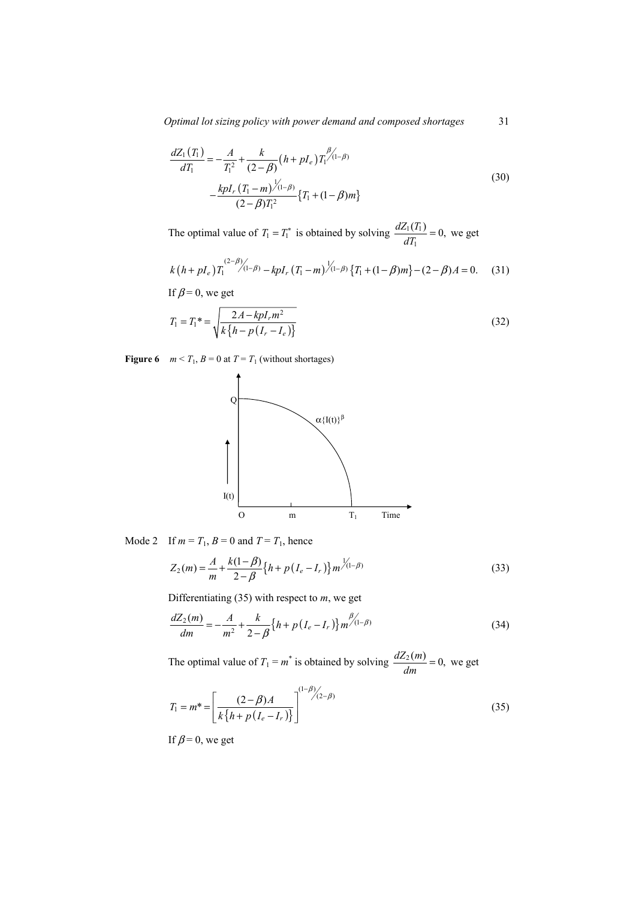*Optimal lot sizing policy with power demand and composed shortages* 31

$$
\frac{dZ_1(T_1)}{dT_1} = -\frac{A}{T_1^2} + \frac{k}{(2-\beta)} (h + pI_e) T_1^{\beta/_{(1-\beta)}}
$$

$$
-\frac{k pI_r (T_1 - m)^{\beta/_{(1-\beta)}}}{(2-\beta)T_1^2} \{T_1 + (1-\beta)m\}
$$
(30)

The optimal value of  $T_1 = T_1^*$  is obtained by solving  $\frac{aZ_1(1)}{dT_1}$  $\frac{dZ_1(T_1)}{dT_1} = 0$ , we get

$$
k(h + pI_e)T_1^{(2-\beta)}/(1-\beta) - kpI_r(T_1 - m)^{1/(1-\beta)}\{T_1 + (1-\beta)m\} - (2-\beta)A = 0.
$$
 (31)

If 
$$
\beta = 0
$$
, we get
$$
T_1 = T_1^* = \sqrt{\frac{2A - kpI_r m^2}{k\{h - p(I_r - I_e)\}}}
$$
(32)

**Figure 6**  $m < T_1$ ,  $B = 0$  at  $T = T_1$  (without shortages)



Mode 2 If  $m = T_1$ ,  $B = 0$  and  $T = T_1$ , hence

$$
Z_2(m) = \frac{A}{m} + \frac{k(1-\beta)}{2-\beta} \left\{ h + p(I_e - I_r) \right\} m^{\frac{1}{\sqrt{(1-\beta)}}}
$$
(33)

Differentiating (35) with respect to *m*, we get

$$
\frac{dZ_2(m)}{dm} = -\frac{A}{m^2} + \frac{k}{2-\beta} \left\{ h + p(I_e - I_r) \right\} m^{\beta/(1-\beta)} \tag{34}
$$

The optimal value of  $T_1 = m^*$  is obtained by solving  $\frac{dZ_2(m)}{dm} = 0$ , we get

$$
T_1 = m^* = \left[ \frac{(2 - \beta)A}{k \{ h + p(I_e - I_r) \}} \right]^{(1 - \beta)/(2 - \beta)}
$$
(35)

If  $\beta = 0$ , we get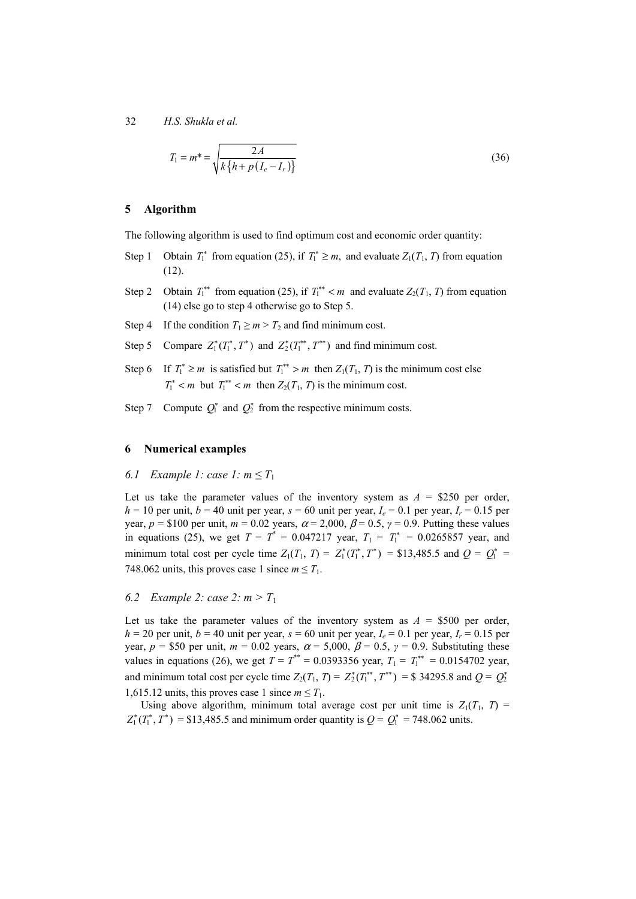$$
T_1 = m^* = \sqrt{\frac{2A}{k\{h + p(I_e - I_r)\}}}
$$
(36)

#### **5 Algorithm**

The following algorithm is used to find optimum cost and economic order quantity:

- Step 1 Obtain  $T_1^*$  from equation (25), if  $T_1^* \geq m$ , and evaluate  $Z_1(T_1, T)$  from equation (12).
- Step 2 Obtain  $T_1^{**}$  from equation (25), if  $T_1^{**} < m$  and evaluate  $Z_2(T_1, T)$  from equation (14) else go to step 4 otherwise go to Step 5.
- Step 4 If the condition  $T_1 \ge m > T_2$  and find minimum cost.
- Step 5 Compare  $Z_1^*(T_1^*, T^*)$  and  $Z_2^*(T_1^{**}, T^{**})$  and find minimum cost.
- Step 6 If  $T_1^* \ge m$  is satisfied but  $T_1^{**} > m$  then  $Z_1(T_1, T)$  is the minimum cost else  $T_1^*$  < *m* but  $T_1^{**}$  < *m* then  $Z_2(T_1, T)$  is the minimum cost.
- Step 7 Compute  $Q_1^*$  and  $Q_2^*$  from the respective minimum costs.

#### **6 Numerical examples**

*6.1 Example 1: case 1:*  $m \leq T_1$ 

Let us take the parameter values of the inventory system as  $A = $250$  per order,  $h = 10$  per unit,  $b = 40$  unit per year,  $s = 60$  unit per year,  $I_e = 0.1$  per year,  $I_r = 0.15$  per year,  $p = $100$  per unit,  $m = 0.02$  years,  $\alpha = 2,000$ ,  $\beta = 0.5$ ,  $\gamma = 0.9$ . Putting these values in equations (25), we get  $T = T^* = 0.047217$  year,  $T_1 = T_1^* = 0.0265857$  year, and minimum total cost per cycle time  $Z_1(T_1, T) = Z_1^*(T_1^*, T^*) = $13,485.5$  and  $Q = Q_1^* =$ 748.062 units, this proves case 1 since  $m \le T_1$ .

*6.2 Example 2: case 2: m > T*<sup>1</sup>

Let us take the parameter values of the inventory system as  $A = $500$  per order,  $h = 20$  per unit,  $b = 40$  unit per year,  $s = 60$  unit per year,  $I_e = 0.1$  per year,  $I_r = 0.15$  per year,  $p = $50$  per unit,  $m = 0.02$  years,  $\alpha = 5,000$ ,  $\beta = 0.5$ ,  $\gamma = 0.9$ . Substituting these values in equations (26), we get  $T = T^{**} = 0.0393356$  year,  $T_1 = T_1^{**} = 0.0154702$  year. and minimum total cost per cycle time  $Z_2(T_1, T) = Z_2^*(T_1^{**}, T^{**}) = $34295.8$  and  $Q = Q_2^*$ 1,615.12 units, this proves case 1 since  $m \leq T_1$ .

Using above algorithm, minimum total average cost per unit time is  $Z_1(T_1, T) = Z_1^*(T_1^*, T^*) = $13,485.5$  and minimum order quantity is  $Q = Q_1^* = 748.062$  units.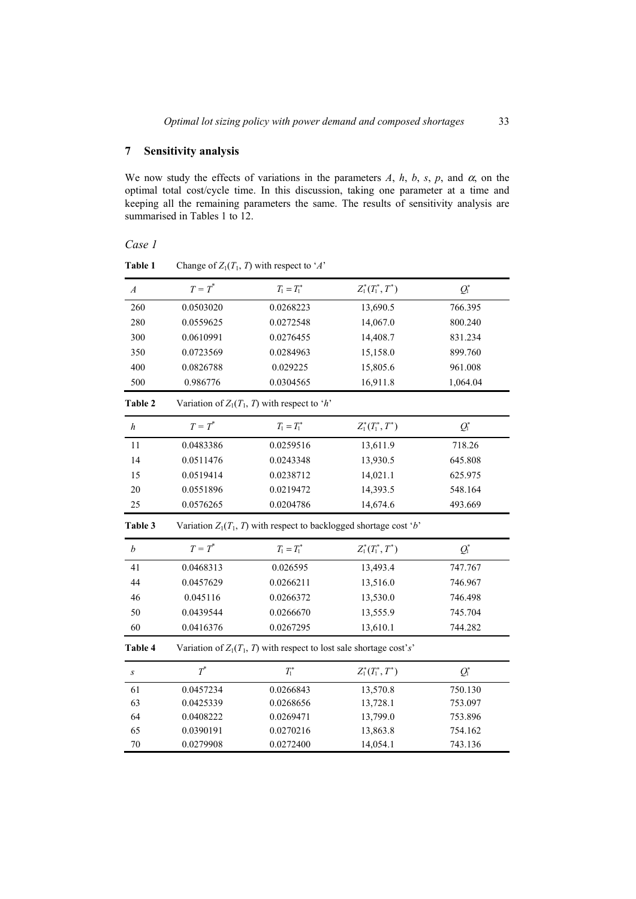# **7 Sensitivity analysis**

We now study the effects of variations in the parameters  $A$ ,  $h$ ,  $b$ ,  $s$ ,  $p$ , and  $\alpha$ , on the optimal total cost/cycle time. In this discussion, taking one parameter at a time and keeping all the remaining parameters the same. The results of sensitivity analysis are summarised in Tables 1 to 12.

### *Case 1*

| $\boldsymbol{A}$ | $T=T^*$                                                               | $T_1 = T_1^*$ | $Z_1^*(T_1^*,T^*)$ | $Q_{1}^{*}$ |  |
|------------------|-----------------------------------------------------------------------|---------------|--------------------|-------------|--|
| 260              | 0.0503020                                                             | 0.0268223     | 13,690.5           | 766.395     |  |
| 280              | 0.0559625                                                             | 0.0272548     | 14,067.0           | 800.240     |  |
| 300              | 0.0610991                                                             | 0.0276455     | 14,408.7           | 831.234     |  |
| 350              | 0.0723569                                                             | 0.0284963     | 15,158.0           | 899.760     |  |
| 400              | 0.0826788                                                             | 0.029225      | 15,805.6           | 961.008     |  |
| 500              | 0.986776                                                              | 0.0304565     | 16,911.8           | 1,064.04    |  |
| Table 2          | Variation of $Z_1(T_1, T)$ with respect to 'h'                        |               |                    |             |  |
| $\boldsymbol{h}$ | $T=T^*$                                                               | $T_1 = T_1^*$ | $Z_1^*(T_1^*,T^*)$ | $Q_1^*$     |  |
| 11               | 0.0483386                                                             | 0.0259516     | 13,611.9           | 718.26      |  |
| 14               | 0.0511476                                                             | 0.0243348     | 13,930.5           | 645.808     |  |
| 15               | 0.0519414                                                             | 0.0238712     | 14,021.1           | 625.975     |  |
| 20               | 0.0551896                                                             | 0.0219472     | 14,393.5           | 548.164     |  |
| 25               | 0.0576265                                                             | 0.0204786     | 14,674.6           | 493.669     |  |
| Table 3          | Variation $Z_1(T_1, T)$ with respect to backlogged shortage cost 'b'  |               |                    |             |  |
| $\boldsymbol{b}$ | $T = T^*$                                                             | $T_1 = T_1^*$ | $Z_1^*(T_1^*,T^*)$ | $Q_1^*$     |  |
| 41               | 0.0468313                                                             | 0.026595      | 13,493.4           | 747.767     |  |
| 44               | 0.0457629                                                             | 0.0266211     | 13,516.0           | 746.967     |  |
| 46               | 0.045116                                                              | 0.0266372     | 13,530.0           | 746.498     |  |
| 50               | 0.0439544                                                             | 0.0266670     | 13,555.9           | 745.704     |  |
| 60               | 0.0416376                                                             | 0.0267295     | 13,610.1           | 744.282     |  |
| Table 4          | Variation of $Z_1(T_1, T)$ with respect to lost sale shortage cost's' |               |                    |             |  |
| $\boldsymbol{S}$ | $T^*$                                                                 | $T_1^*$       | $Z_1^*(T_1^*,T^*)$ | $Q_1^*$     |  |
| 61               | 0.0457234                                                             | 0.0266843     | 13,570.8           | 750.130     |  |
| 63               | 0.0425339                                                             | 0.0268656     | 13,728.1           | 753.097     |  |
| 64               | 0.0408222                                                             | 0.0269471     | 13,799.0           | 753.896     |  |
| 65               | 0.0390191                                                             | 0.0270216     | 13,863.8           | 754.162     |  |
| 70               | 0.0279908                                                             | 0.0272400     | 14,054.1           | 743.136     |  |

**Table 1** Change of  $Z_1(T_1, T)$  with respect to '*A*'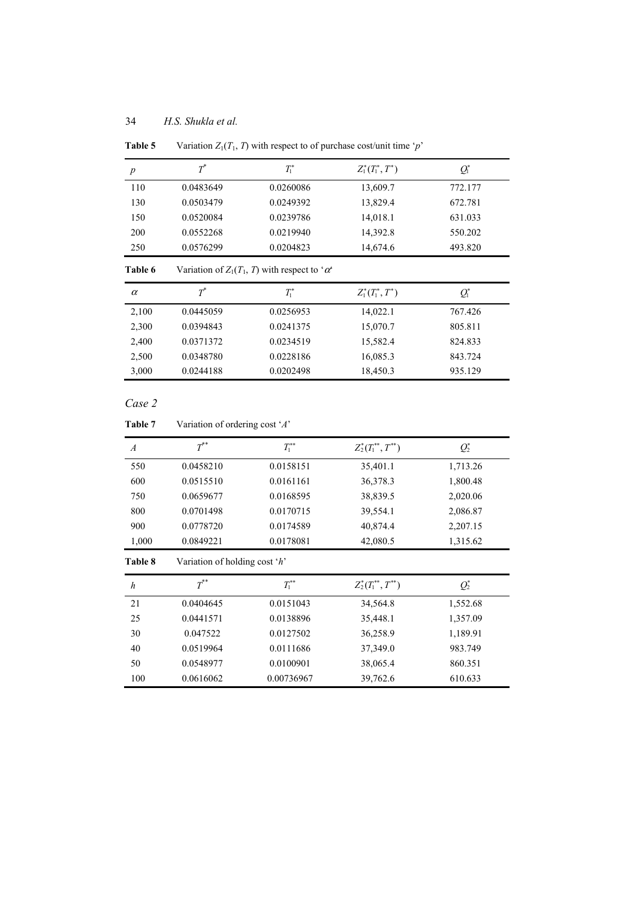| $\boldsymbol{p}$ | $T^*$                                                   | $T_1^*$   | $Z_1^*(T_1^*,T^*)$ | $Q_{1}^{*}$ |
|------------------|---------------------------------------------------------|-----------|--------------------|-------------|
| 110              | 0.0483649                                               | 0.0260086 | 13,609.7           | 772.177     |
| 130              | 0.0503479                                               | 0.0249392 | 13,829.4           | 672.781     |
| 150              | 0.0520084                                               | 0.0239786 | 14,018.1           | 631.033     |
| 200              | 0.0552268                                               | 0.0219940 | 14,392.8           | 550.202     |
| 250              | 0.0576299                                               | 0.0204823 | 14,674.6           | 493.820     |
| Table 6          | Variation of $Z_1(T_1, T)$ with respect to ' $\alpha$ ' |           |                    |             |
| $\alpha$         | $T^*$                                                   | $T_1^*$   | $Z_1^*(T_1^*,T^*)$ | $Q_1^*$     |
| 2,100            | 0.0445059                                               | 0.0256953 | 14,022.1           | 767.426     |
| 2,300            | 0.0394843                                               | 0.0241375 | 15,070.7           | 805.811     |
| 2,400            | 0.0371372                                               | 0.0234519 | 15,582.4           | 824.833     |
| 2,500            | 0.0348780                                               | 0.0228186 | 16,085.3           | 843.724     |
| 3,000            | 0.0244188                                               | 0.0202498 | 18,450.3           | 935.129     |

**Table 5** Variation  $Z_1(T_1, T)$  with respect to of purchase cost/unit time '*p*'

## *Case 2*

| Table 7 | Variation of ordering cost $A'$ |  |
|---------|---------------------------------|--|
|---------|---------------------------------|--|

| $\boldsymbol{A}$ | $T^{\ast\ast}$                 | $T_1^{**}$ | $Z_2^*(T_1^{**}, T^{**})$ | $Q_2^*$           |  |
|------------------|--------------------------------|------------|---------------------------|-------------------|--|
| 550              | 0.0458210                      | 0.0158151  | 35,401.1                  | 1,713.26          |  |
| 600              | 0.0515510                      | 0.0161161  | 36,378.3                  | 1,800.48          |  |
| 750              | 0.0659677                      | 0.0168595  | 38,839.5                  | 2,020.06          |  |
| 800              | 0.0701498                      | 0.0170715  | 39,554.1                  | 2,086.87          |  |
| 900              | 0.0778720                      | 0.0174589  | 40,874.4                  | 2,207.15          |  |
| 1,000            | 0.0849221                      | 0.0178081  | 42,080.5                  | 1,315.62          |  |
| Table 8          | Variation of holding cost $'h$ |            |                           |                   |  |
| h                | $T^{\ast}$                     | $T_1^{**}$ | $Z_2^*(T_1^{**}, T^{**})$ | $\mathcal{Q}_2^*$ |  |
| 21               | 0.0404645                      | 0.0151043  | 34,564.8                  | 1,552.68          |  |
| 25               | 0.0441571                      | 0.0138896  | 35,448.1                  | 1,357.09          |  |
| 30               | 0.047522                       | 0.0127502  | 36,258.9                  | 1,189.91          |  |
| 40               | 0.0519964                      | 0.0111686  | 37,349.0                  | 983.749           |  |
| 50               | 0.0548977                      | 0.0100901  | 38,065.4                  | 860.351           |  |
| 100              | 0.0616062                      | 0.00736967 | 39,762.6                  | 610.633           |  |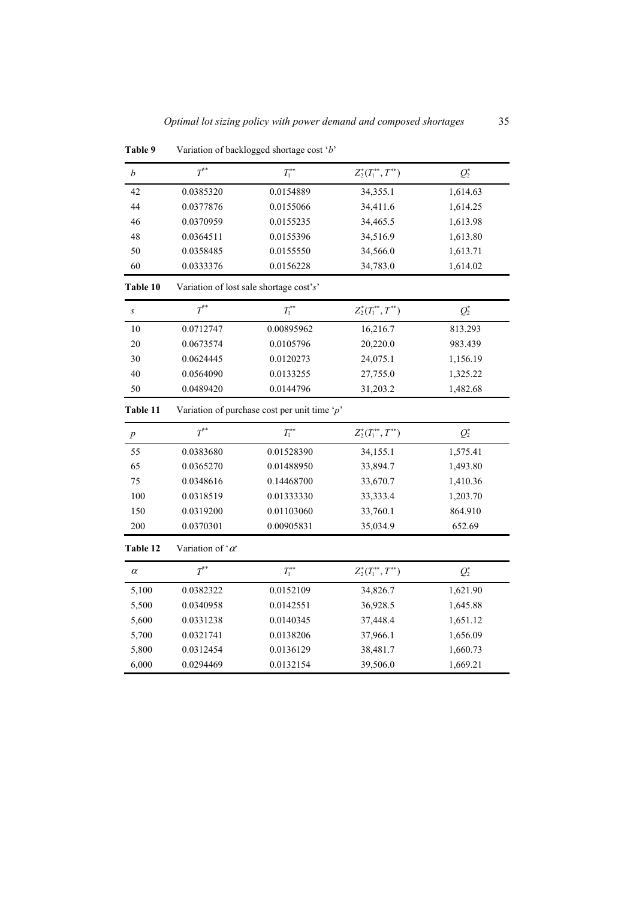| $\boldsymbol{b}$ | $\overline{T}^{**}$                              | $T_1^{**}$       | $Z_2^*(T_1^{**}, T^{**})$ | $Q_2^*$  |  |
|------------------|--------------------------------------------------|------------------|---------------------------|----------|--|
| 42               | 0.0385320                                        | 0.0154889        | 34,355.1                  | 1,614.63 |  |
| 44               | 0.0377876                                        | 0.0155066        | 34,411.6                  | 1,614.25 |  |
| 46               | 0.0370959                                        | 0.0155235        | 34,465.5                  | 1,613.98 |  |
| 48               | 0.0364511                                        | 0.0155396        | 34,516.9                  | 1,613.80 |  |
| 50               | 0.0358485                                        | 0.0155550        | 34,566.0                  | 1,613.71 |  |
| 60               | 0.0333376                                        | 0.0156228        | 34,783.0                  | 1,614.02 |  |
| Table 10         | Variation of lost sale shortage cost's'          |                  |                           |          |  |
| $\boldsymbol{S}$ | $\overline{T}^{**}$                              | $T_1^{**}$       | $Z_2^*(T_1^{**}, T^{**})$ | $Q_2^*$  |  |
| 10               | 0.0712747                                        | 0.00895962       | 16,216.7                  | 813.293  |  |
| 20               | 0.0673574                                        | 0.0105796        | 20,220.0                  | 983.439  |  |
| 30               | 0.0624445                                        | 0.0120273        | 24,075.1                  | 1,156.19 |  |
| 40               | 0.0564090                                        | 0.0133255        | 27,755.0                  | 1,325.22 |  |
| 50               | 0.0489420                                        | 0.0144796        | 31,203.2                  | 1,482.68 |  |
| Table 11         | Variation of purchase cost per unit time ' $p$ ' |                  |                           |          |  |
| $\boldsymbol{p}$ | $T^{\ast\ast}$                                   | $T_1^{\ast\ast}$ | $Z_2^*(T_1^{**}, T^{**})$ | $Q_2^*$  |  |
| 55               | 0.0383680                                        | 0.01528390       | 34,155.1                  | 1,575.41 |  |
| 65               | 0.0365270                                        | 0.01488950       | 33,894.7                  | 1,493.80 |  |
| 75               | 0.0348616                                        | 0.14468700       | 33,670.7                  | 1,410.36 |  |
| 100              | 0.0318519                                        | 0.01333330       | 33,333.4                  | 1,203.70 |  |
| 150              | 0.0319200                                        | 0.01103060       | 33,760.1                  | 864.910  |  |
| 200              | 0.0370301                                        | 0.00905831       | 35,034.9                  | 652.69   |  |
| Table 12         | Variation of 'a'                                 |                  |                           |          |  |
| $\alpha$         | $T^{\ast}$                                       | $T_1^{**}$       | $Z_2^*(T_1^{**}, T^{**})$ | $Q_2^*$  |  |
| 5,100            | 0.0382322                                        | 0.0152109        | 34,826.7                  | 1,621.90 |  |
| 5,500            | 0.0340958                                        | 0.0142551        | 36,928.5                  | 1,645.88 |  |
| 5,600            | 0.0331238                                        | 0.0140345        | 37,448.4                  | 1,651.12 |  |
| 5,700            | 0.0321741                                        | 0.0138206        | 37,966.1                  | 1,656.09 |  |
| 5,800            | 0.0312454                                        | 0.0136129        | 38,481.7                  | 1,660.73 |  |
| 6,000            | 0.0294469                                        | 0.0132154        | 39,506.0                  | 1,669.21 |  |

**Table 9** Variation of backlogged shortage cost '*b*'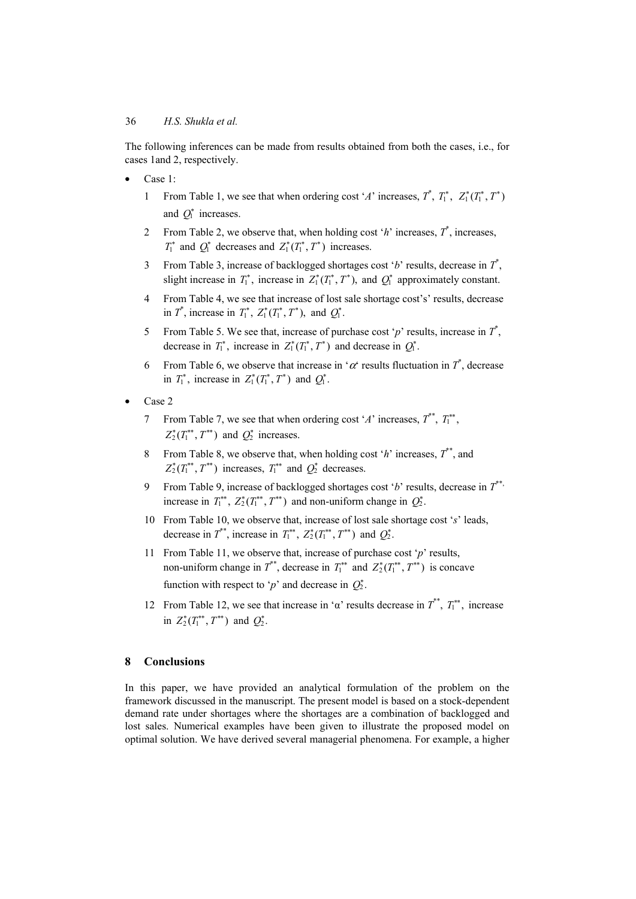The following inferences can be made from results obtained from both the cases, i.e., for cases 1and 2, respectively.

- Case 1:
	- 1 From Table 1, we see that when ordering cost 'A' increases,  $T^*$ ,  $T_1^*$ ,  $Z_1^*(T_1^*, T^*)$ and  $Q_1^*$  increases.
	- 2 From Table 2, we observe that, when holding cost '*h*' increases,  $T^*$ , increases,  $T_1^*$  and  $Q_1^*$  decreases and  $Z_1^*(T_1^*, T^*)$  increases.
	- 3 From Table 3, increase of backlogged shortages cost '*b*' results, decrease in *T*\* , slight increase in  $T_1^*$ , increase in  $Z_1^*(T_1^*, T^*)$ , and  $Q_1^*$  approximately constant.
	- 4 From Table 4, we see that increase of lost sale shortage cost's' results, decrease in  $T^*$ , increase in  $T_1^*$ ,  $Z_1^*(T_1^*, T^*)$ , and  $Q_1^*$ .
	- 5 From Table 5. We see that, increase of purchase cost 'p' results, increase in  $T^*$ , decrease in  $T_1^*$ , increase in  $Z_1^*(T_1^*, T^*)$  and decrease in  $Q_1^*$ .
	- 6 From Table 6, we observe that increase in ' $\alpha$ ' results fluctuation in  $T^*$ , decrease in  $T_1^*$ , increase in  $Z_1^*(T_1^*, T^*)$  and  $Q_1^*$ .
- Case 2
	- From Table 7, we see that when ordering cost '*A*' increases,  $T^{**}$ ,  $T_1^{**}$ ,  $Z_2^*(T_1^{**}, T^{**})$  and  $Q_2^*$  increases.
	- 8 From Table 8, we observe that, when holding cost '*h*' increases,  $T^{**}$ , and  $Z_2^*(T_1^{**}, T^{**})$  increases,  $T_1^{**}$  and  $Q_2^*$  decreases.
	- 9 From Table 9, increase of backlogged shortages cost '*b*' results, decrease in *T*\*\*, increase in  $T_1^{**}$ ,  $Z_2^{*}(T_1^{**}, T^{**})$  and non-uniform change in  $Q_2^{*}$ .
	- 10 From Table 10, we observe that, increase of lost sale shortage cost '*s*' leads, decrease in  $T^*$ , increase in  $T_1^{**}$ ,  $Z_2^*(T_1^{**}, T^{**})$  and  $Q_2^*$ .
	- 11 From Table 11, we observe that, increase of purchase cost '*p*' results, non-uniform change in  $T^*$ , decrease in  $T_1^{**}$  and  $Z_2^*(T_1^{**}, T^{**})$  is concave function with respect to '*p*' and decrease in  $Q_2^*$ .
	- 12 From Table 12, we see that increase in ' $\alpha$ ' results decrease in  $T^{**}$ ,  $T_1^{**}$ , increase in  $Z_2^*(T_1^{**}, T^{**})$  and  $Q_2^*$ .

#### **8 Conclusions**

In this paper, we have provided an analytical formulation of the problem on the framework discussed in the manuscript. The present model is based on a stock-dependent demand rate under shortages where the shortages are a combination of backlogged and lost sales. Numerical examples have been given to illustrate the proposed model on optimal solution. We have derived several managerial phenomena. For example, a higher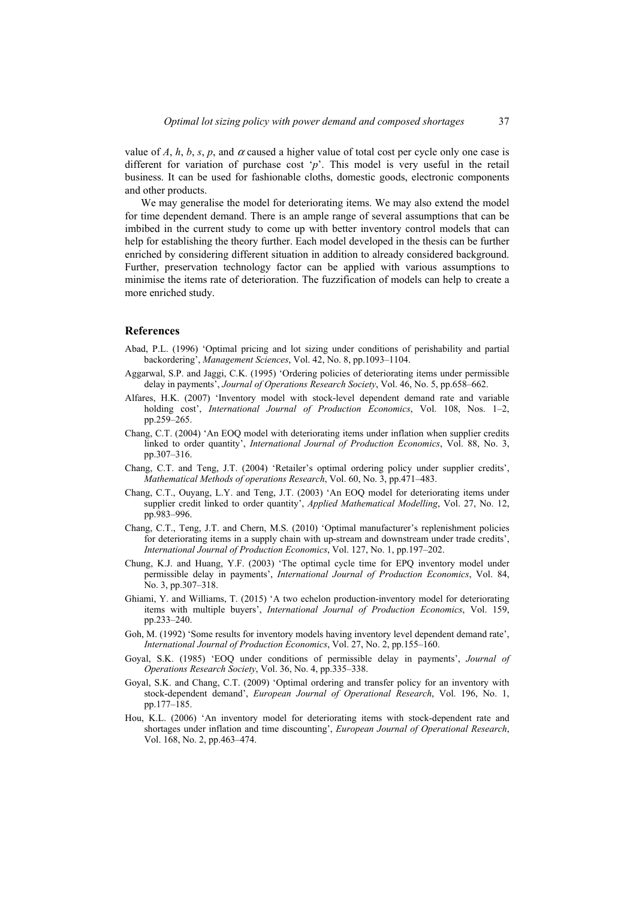value of *A*, *h*, *b*, *s*, *p*, and  $\alpha$  caused a higher value of total cost per cycle only one case is different for variation of purchase cost '*p*'. This model is very useful in the retail business. It can be used for fashionable cloths, domestic goods, electronic components and other products.

We may generalise the model for deteriorating items. We may also extend the model for time dependent demand. There is an ample range of several assumptions that can be imbibed in the current study to come up with better inventory control models that can help for establishing the theory further. Each model developed in the thesis can be further enriched by considering different situation in addition to already considered background. Further, preservation technology factor can be applied with various assumptions to minimise the items rate of deterioration. The fuzzification of models can help to create a more enriched study.

#### **References**

- Abad, P.L. (1996) 'Optimal pricing and lot sizing under conditions of perishability and partial backordering', *Management Sciences*, Vol. 42, No. 8, pp.1093–1104.
- Aggarwal, S.P. and Jaggi, C.K. (1995) 'Ordering policies of deteriorating items under permissible delay in payments', *Journal of Operations Research Society*, Vol. 46, No. 5, pp.658–662.
- Alfares, H.K. (2007) 'Inventory model with stock-level dependent demand rate and variable holding cost', *International Journal of Production Economics*, Vol. 108, Nos. 1–2, pp.259–265.
- Chang, C.T. (2004) 'An EOQ model with deteriorating items under inflation when supplier credits linked to order quantity', *International Journal of Production Economics*, Vol. 88, No. 3, pp.307–316.
- Chang, C.T. and Teng, J.T. (2004) 'Retailer's optimal ordering policy under supplier credits', *Mathematical Methods of operations Research*, Vol. 60, No. 3, pp.471–483.
- Chang, C.T., Ouyang, L.Y. and Teng, J.T. (2003) 'An EOQ model for deteriorating items under supplier credit linked to order quantity', *Applied Mathematical Modelling*, Vol. 27, No. 12, pp.983–996.
- Chang, C.T., Teng, J.T. and Chern, M.S. (2010) 'Optimal manufacturer's replenishment policies for deteriorating items in a supply chain with up-stream and downstream under trade credits', *International Journal of Production Economics*, Vol. 127, No. 1, pp.197–202.
- Chung, K.J. and Huang, Y.F. (2003) 'The optimal cycle time for EPQ inventory model under permissible delay in payments', *International Journal of Production Economics*, Vol. 84, No. 3, pp.307–318.
- Ghiami, Y. and Williams, T. (2015) 'A two echelon production-inventory model for deteriorating items with multiple buyers', *International Journal of Production Economics*, Vol. 159, pp.233–240.
- Goh, M. (1992) 'Some results for inventory models having inventory level dependent demand rate', *International Journal of Production Economics*, Vol. 27, No. 2, pp.155–160.
- Goyal, S.K. (1985) 'EOQ under conditions of permissible delay in payments', *Journal of Operations Research Society*, Vol. 36, No. 4, pp.335–338.
- Goyal, S.K. and Chang, C.T. (2009) 'Optimal ordering and transfer policy for an inventory with stock-dependent demand', *European Journal of Operational Research*, Vol. 196, No. 1, pp.177–185.
- Hou, K.L. (2006) 'An inventory model for deteriorating items with stock-dependent rate and shortages under inflation and time discounting', *European Journal of Operational Research*, Vol. 168, No. 2, pp.463–474.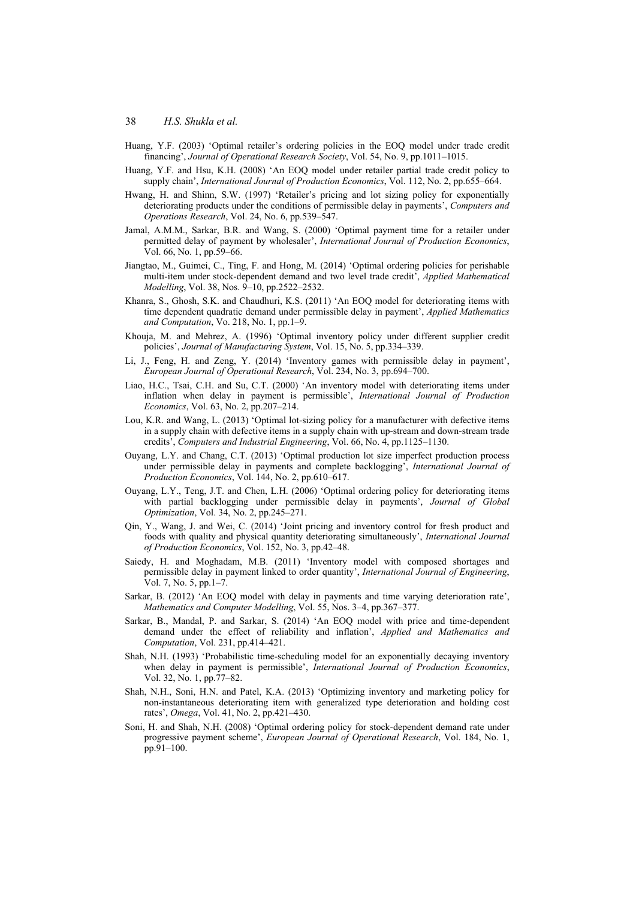- Huang, Y.F. (2003) 'Optimal retailer's ordering policies in the EOQ model under trade credit financing', *Journal of Operational Research Society*, Vol. 54, No. 9, pp.1011–1015.
- Huang, Y.F. and Hsu, K.H. (2008) 'An EOQ model under retailer partial trade credit policy to supply chain', *International Journal of Production Economics*, Vol. 112, No. 2, pp.655–664.
- Hwang, H. and Shinn, S.W. (1997) 'Retailer's pricing and lot sizing policy for exponentially deteriorating products under the conditions of permissible delay in payments', *Computers and Operations Research*, Vol. 24, No. 6, pp.539–547.
- Jamal, A.M.M., Sarkar, B.R. and Wang, S. (2000) 'Optimal payment time for a retailer under permitted delay of payment by wholesaler', *International Journal of Production Economics*, Vol. 66, No. 1, pp.59–66.
- Jiangtao, M., Guimei, C., Ting, F. and Hong, M. (2014) 'Optimal ordering policies for perishable multi-item under stock-dependent demand and two level trade credit', *Applied Mathematical Modelling*, Vol. 38, Nos. 9–10, pp.2522–2532.
- Khanra, S., Ghosh, S.K. and Chaudhuri, K.S. (2011) 'An EOQ model for deteriorating items with time dependent quadratic demand under permissible delay in payment', *Applied Mathematics and Computation*, Vo. 218, No. 1, pp.1–9.
- Khouja, M. and Mehrez, A. (1996) 'Optimal inventory policy under different supplier credit policies', *Journal of Manufacturing System*, Vol. 15, No. 5, pp.334–339.
- Li, J., Feng, H. and Zeng, Y. (2014) 'Inventory games with permissible delay in payment', *European Journal of Operational Research*, Vol. 234, No. 3, pp.694–700.
- Liao, H.C., Tsai, C.H. and Su, C.T. (2000) 'An inventory model with deteriorating items under inflation when delay in payment is permissible', *International Journal of Production Economics*, Vol. 63, No. 2, pp.207–214.
- Lou, K.R. and Wang, L. (2013) 'Optimal lot-sizing policy for a manufacturer with defective items in a supply chain with defective items in a supply chain with up-stream and down-stream trade credits', *Computers and Industrial Engineering*, Vol. 66, No. 4, pp.1125–1130.
- Ouyang, L.Y. and Chang, C.T. (2013) 'Optimal production lot size imperfect production process under permissible delay in payments and complete backlogging', *International Journal of Production Economics*, Vol. 144, No. 2, pp.610–617.
- Ouyang, L.Y., Teng, J.T. and Chen, L.H. (2006) 'Optimal ordering policy for deteriorating items with partial backlogging under permissible delay in payments', *Journal of Global Optimization*, Vol. 34, No. 2, pp.245–271.
- Qin, Y., Wang, J. and Wei, C. (2014) 'Joint pricing and inventory control for fresh product and foods with quality and physical quantity deteriorating simultaneously', *International Journal of Production Economics*, Vol. 152, No. 3, pp.42–48.
- Saiedy, H. and Moghadam, M.B. (2011) 'Inventory model with composed shortages and permissible delay in payment linked to order quantity', *International Journal of Engineering*, Vol. 7, No. 5, pp.1–7.
- Sarkar, B. (2012) 'An EOQ model with delay in payments and time varying deterioration rate', *Mathematics and Computer Modelling*, Vol. 55, Nos. 3–4, pp.367–377.
- Sarkar, B., Mandal, P. and Sarkar, S. (2014) 'An EOQ model with price and time-dependent demand under the effect of reliability and inflation', *Applied and Mathematics and Computation*, Vol. 231, pp.414–421.
- Shah, N.H. (1993) 'Probabilistic time-scheduling model for an exponentially decaying inventory when delay in payment is permissible', *International Journal of Production Economics*, Vol. 32, No. 1, pp.77–82.
- Shah, N.H., Soni, H.N. and Patel, K.A. (2013) 'Optimizing inventory and marketing policy for non-instantaneous deteriorating item with generalized type deterioration and holding cost rates', *Omega*, Vol. 41, No. 2, pp.421–430.
- Soni, H. and Shah, N.H. (2008) 'Optimal ordering policy for stock-dependent demand rate under progressive payment scheme', *European Journal of Operational Research*, Vol. 184, No. 1, pp.91–100.